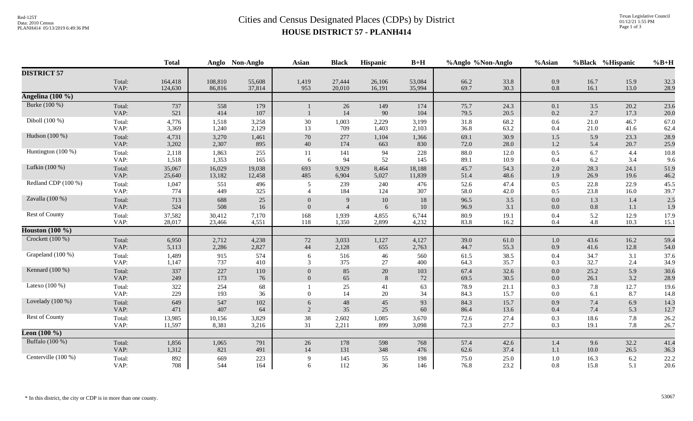## Red-125T<br>Data: 2010 Census<br>PLANH414 05/13/2019 6:49:36 PM<br>**Cities and Census Designated Places (CDPs) by District HOUSE DISTRICT 57 - PLANH414**

|                               |                | <b>Total</b> | Anglo      | Non-Anglo  | <b>Asian</b>   | <b>Black</b>   | Hispanic   | $B+H$      | %Anglo %Non-Anglo |              | %Asian         |              | %Black %Hispanic | $%B+H$       |
|-------------------------------|----------------|--------------|------------|------------|----------------|----------------|------------|------------|-------------------|--------------|----------------|--------------|------------------|--------------|
| <b>DISTRICT 57</b>            |                |              |            |            |                |                |            |            |                   |              |                |              |                  |              |
|                               | Total:         | 164,418      | 108,810    | 55,608     | 1,419          | 27,444         | 26,106     | 53,084     | 66.2              | 33.8         | 0.9            | 16.7         | 15.9             | 32.3         |
|                               | VAP:           | 124,630      | 86,816     | 37,814     | 953            | 20,010         | 16,191     | 35,994     | 69.7              | 30.3         | 0.8            | 16.1         | 13.0             | 28.9         |
| Angelina $(100\ \frac{1}{6})$ |                |              |            |            |                |                |            |            |                   |              |                |              |                  |              |
| Burke (100 %)                 | Total:<br>VAP: | 737<br>521   | 558<br>414 | 179<br>107 |                | 26<br>14       | 149<br>90  | 174<br>104 | 75.7<br>79.5      | 24.3<br>20.5 | 0.1<br>0.2     | 3.5<br>2.7   | 20.2<br>17.3     | 23.6<br>20.0 |
| Diboll (100 %)                | Total:         | 4,776        | 1,518      | 3,258      | $30\,$         | 1,003          | 2,229      | 3,199      | 31.8              | 68.2         | $0.6\,$        | 21.0         | 46.7             | 67.0         |
|                               | VAP:           | 3,369        | 1,240      | 2,129      | 13             | 709            | 1,403      | 2,103      | 36.8              | 63.2         | 0.4            | 21.0         | 41.6             | 62.4         |
| Hudson (100 %)                | Total:         | 4,731        | 3,270      | 1,461      | $70\,$         | 277            | 1,104      | 1,366      | 69.1              | 30.9         | 1.5            | 5.9          | 23.3             | 28.9         |
|                               | VAP:           | 3,202        | 2,307      | 895        | 40             | 174            | 663        | 830        | 72.0              | 28.0         | 1.2            | 5.4          | 20.7             | 25.9         |
| Huntington (100 %)            | Total:         | 2,118        | 1,863      | 255        | 11             | 141            | 94         | 228        | 88.0              | 12.0         | 0.5            | 6.7          | 4.4              | 10.8         |
|                               | VAP:           | 1,518        | 1,353      | 165        | -6             | 94             | 52         | 145        | 89.1              | 10.9         | 0.4            | 6.2          | 3.4              | 9.6          |
| Lufkin (100 %)                | Total:         | 35,067       | 16,029     | 19,038     | 693            | 9,929          | 8,464      | 18,188     | 45.7              | 54.3         | 2.0            | 28.3         | 24.1             | 51.9         |
|                               | VAP:           | 25,640       | 13,182     | 12,458     | 485            | 6,904          | 5,027      | 11,839     | 51.4              | 48.6         | 1.9            | 26.9         | 19.6             | 46.2         |
| Redland CDP (100 %)           | Total:<br>VAP: | 1,047<br>774 | 551<br>449 | 496<br>325 | 5              | 239<br>184     | 240<br>124 | 476<br>307 | 52.6<br>58.0      | 47.4<br>42.0 | 0.5<br>0.5     | 22.8<br>23.8 | 22.9<br>16.0     | 45.5<br>39.7 |
| Zavalla (100 %)               | Total:         | 713          | 688        | 25         | $\overline{0}$ | 9              | 10         | 18         | 96.5              | $3.5$        | 0.0            | 1.3          | 1.4              | 2.5          |
|                               | VAP:           | 524          | 508        | 16         | $\Omega$       | $\overline{4}$ | 6          | 10         | 96.9              | 3.1          | $0.0\,$        | 0.8          | 1.1              | 1.9          |
| Rest of County                | Total:         | 37,582       | 30,412     | 7,170      | 168            | 1,939          | 4,855      | 6,744      | 80.9              | 19.1         | 0.4            | 5.2          | 12.9             | 17.9         |
|                               | VAP:           | 28,017       | 23,466     | 4,551      | 118            | 1,350          | 2,899      | 4,232      | 83.8              | 16.2         | 0.4            | 4.8          | 10.3             | 15.1         |
| Houston $(100 \%)$            |                |              |            |            |                |                |            |            |                   |              |                |              |                  |              |
| Crockett $(100\%)$            | Total:         | 6,950        | 2,712      | 4,238      | 72             | 3,033          | 1,127      | 4,127      | 39.0              | 61.0         | 1.0            | 43.6         | 16.2             | 59.4         |
|                               | VAP:           | 5,113        | 2,286      | 2,827      | $44\,$         | 2,128          | 655        | 2,763      | 44.7              | 55.3         | 0.9            | 41.6         | 12.8             | 54.0         |
| Grapeland (100 %)             | Total:         | 1,489        | 915        | 574        | 6              | 516            | 46         | 560        | 61.5              | 38.5         | 0.4            | 34.7         | 3.1              | 37.6         |
|                               | VAP:           | 1,147        | 737        | 410        | $\mathfrak{Z}$ | 375            | $27\,$     | 400        | 64.3              | 35.7         | 0.3            | 32.7         | 2.4              | 34.9         |
| Kennard (100 %)               | Total:         | 337          | 227        | 110        | $\Omega$       | 85             | 20         | 103        | 67.4              | 32.6         | 0.0            | 25.2         | 5.9              | 30.6         |
|                               | VAP:           | 249          | 173        | 76         | $\overline{0}$ | 65             | 8          | $72\,$     | 69.5              | 30.5         | $0.0\,$        | 26.1         | 3.2              | 28.9         |
| Latexo $(100\%)$              | Total:<br>VAP: | 322<br>229   | 254<br>193 | 68<br>36   | $\Omega$       | 25<br>14       | 41<br>20   | 63<br>34   | 78.9<br>84.3      | 21.1<br>15.7 | 0.3<br>$0.0\,$ | 7.8<br>6.1   | 12.7<br>8.7      | 19.6<br>14.8 |
| Lovelady $(100\%)$            | Total:         | 649          | 547        | 102        | 6              | 48             | 45         | 93         | 84.3              | 15.7         | 0.9            | 7.4          | 6.9              | 14.3         |
|                               | VAP:           | 471          | 407        | 64         | 2              | 35             | 25         | 60         | 86.4              | 13.6         | 0.4            | 7.4          | 5.3              | 12.7         |
| <b>Rest of County</b>         | Total:         | 13,985       | 10,156     | 3,829      | 38             | 2,602          | 1,085      | 3,670      | 72.6              | 27.4         | 0.3            | 18.6         | 7.8              | 26.2         |
|                               | VAP:           | 11,597       | 8,381      | 3,216      | 31             | 2,211          | 899        | 3,098      | 72.3              | 27.7         | 0.3            | 19.1         | 7.8              | 26.7         |
| <b>Leon</b> $(100\%)$         |                |              |            |            |                |                |            |            |                   |              |                |              |                  |              |
| Buffalo (100 %)               | Total:         | 1,856        | 1,065      | 791        | 26             | 178            | 598        | 768        | 57.4              | 42.6         | 1.4            | 9.6          | 32.2             | 41.4         |
|                               | VAP:           | 1,312        | 821        | 491        | 14             | 131            | 348        | 476        | 62.6              | 37.4         | 1.1            | 10.0         | 26.5             | 36.3         |
| Centerville (100 %)           | Total:         | 892          | 669        | $223\,$    | $\mathbf{Q}$   | 145            | 55         | 198        | 75.0              | 25.0         | $1.0\,$        | 16.3         | $6.2\,$          | 22.2         |
|                               | VAP:           | 708          | 544        | 164        | 6              | 112            | 36         | 146        | 76.8              | 23.2         | 0.8            | 15.8         | 5.1              | 20.6         |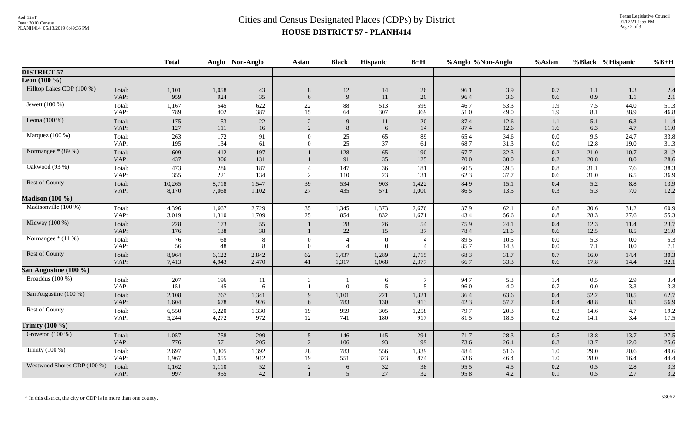## Red-125T<br>Data: 2010 Census<br>PLANH414 05/13/2019 6:49:36 PM<br>**Cities and Census Designated Places (CDPs)** by District **HOUSE DISTRICT 57 - PLANH414**

|                             |                | <b>Total</b> |              | Anglo Non-Anglo | <b>Asian</b>   | <b>Black</b>         | Hispanic       | $B+H$               | %Anglo %Non-Anglo |              | %Asian     |              | %Black %Hispanic | $%B+H$       |
|-----------------------------|----------------|--------------|--------------|-----------------|----------------|----------------------|----------------|---------------------|-------------------|--------------|------------|--------------|------------------|--------------|
| <b>DISTRICT 57</b>          |                |              |              |                 |                |                      |                |                     |                   |              |            |              |                  |              |
| Leon $(100\%$               |                |              |              |                 |                |                      |                |                     |                   |              |            |              |                  |              |
| Hilltop Lakes CDP (100 %)   | Total:         | 1,101        | 1,058        | 43              | 8              | 12                   | 14             | 26                  | 96.1              | 3.9          | 0.7        | 1.1          | 1.3              | 2.4          |
|                             | VAP:           | 959          | 924          | 35              | 6              | 9                    | 11             | 20                  | 96.4              | 3.6          | 0.6        | 0.9          | 1.1              | 2.1          |
| Jewett $(100\%)$            | Total:         | 1,167        | 545          | 622             | $22\,$         | 88                   | 513            | 599                 | 46.7              | 53.3         | 1.9        | 7.5          | 44.0             | 51.3         |
|                             | VAP:           | 789          | 402          | 387             | 15             | 64                   | 307            | 369                 | 51.0              | 49.0         | 1.9        | 8.1          | 38.9             | 46.8         |
| Leona $(100\%)$             | Total:         | 175          | 153          | 22              | 2              | 9                    | 11             | 20                  | 87.4              | 12.6         | 1.1        | 5.1          | 6.3              | 11.4         |
|                             | VAP:           | 127          | 111          | 16              | $\overline{2}$ | 8                    | 6              | 14                  | 87.4              | 12.6         | 1.6        | 6.3          | 4.7              | 11.0         |
| Marquez (100 %)             | Total:         | 263          | 172          | 91              | $\Omega$       | 25                   | 65             | 89                  | 65.4              | 34.6         | $0.0\,$    | 9.5          | 24.7             | 33.8         |
|                             | VAP:           | 195          | 134          | 61              | $\overline{0}$ | 25                   | 37             | 61                  | 68.7              | 31.3         | $0.0\,$    | 12.8         | 19.0             | 31.3         |
| Normangee * (89 %)          | Total:<br>VAP: | 609<br>437   | 412<br>306   | 197<br>131      |                | 128<br>91            | 65<br>35       | 190<br>125          | 67.7<br>70.0      | 32.3<br>30.0 | 0.2<br>0.2 | 21.0<br>20.8 | 10.7<br>8.0      | 31.2<br>28.6 |
| Oakwood (93 %)              | Total:         | 473          | 286          | 187             | $\overline{4}$ | 147                  | 36             | 181                 | 60.5              | 39.5         | 0.8        | 31.1         | 7.6              | 38.3         |
|                             | VAP:           | 355          | 221          | 134             | 2              | 110                  | 23             | 131                 | 62.3              | 37.7         | 0.6        | 31.0         | 6.5              | 36.9         |
| Rest of County              | Total:         | 10,265       | 8,718        | 1,547           | 39             | 534                  | 903            | 1,422               | 84.9              | 15.1         | 0.4        | 5.2          | 8.8              | 13.9         |
|                             | VAP:           | 8,170        | 7,068        | 1,102           | 27             | 435                  | 571            | 1,000               | 86.5              | 13.5         | 0.3        | 5.3          | 7.0              | 12.2         |
| <b>Madison (100 %)</b>      |                |              |              |                 |                |                      |                |                     |                   |              |            |              |                  |              |
| Madisonville (100 %)        | Total:         | 4,396        | 1,667        | 2,729           | 35             | 1,345                | 1,373          | 2,676               | 37.9              | 62.1         | 0.8        | 30.6         | 31.2             | 60.9         |
|                             | VAP:           | 3,019        | 1,310        | 1,709           | 25             | 854                  | 832            | 1,671               | 43.4              | 56.6         | 0.8        | 28.3         | 27.6             | 55.3         |
| Midway $(100\%)$            | Total:<br>VAP: | 228<br>176   | 173<br>138   | 55<br>38        |                | $28\,$<br>22         | 26<br>15       | 54<br>37            | 75.9<br>78.4      | 24.1<br>21.6 | 0.4<br>0.6 | 12.3<br>12.5 | 11.4<br>8.5      | 23.7<br>21.0 |
| Normangee * (11 %)          | Total:         | 76           | 68           | 8               | $\overline{0}$ | $\overline{4}$       | $\overline{0}$ | $\overline{4}$      | 89.5              | 10.5         | $0.0\,$    | 5.3          | $0.0\,$          | 5.3          |
|                             | VAP:           | 56           | 48           | 8               | $\overline{0}$ | $\overline{4}$       | $\overline{0}$ | $\overline{4}$      | 85.7              | 14.3         | $0.0\,$    | 7.1          | 0.0              | 7.1          |
| Rest of County              | Total:         | 8,964        | 6,122        | 2,842           | 62             | 1,437                | 1,289          | 2,715               | 68.3              | 31.7         | 0.7        | 16.0         | 14.4             | 30.3         |
|                             | VAP:           | 7,413        | 4,943        | 2,470           | 41             | 1,317                | 1,068          | 2,377               | 66.7              | 33.3         | 0.6        | 17.8         | 14.4             | 32.1         |
| San Augustine $(100\%$      |                |              |              |                 |                |                      |                |                     |                   |              |            |              |                  |              |
| Broaddus (100 %)            | Total:<br>VAP: | 207<br>151   | 196<br>145   | 11<br>6         | 3              | $\Omega$             | 6<br>5         | $\overline{7}$<br>5 | 94.7<br>96.0      | 5.3<br>4.0   | 1.4<br>0.7 | 0.5<br>0.0   | 2.9<br>3.3       | 3.4<br>3.3   |
| San Augustine (100 %)       | Total:         | 2,108        | 767          | 1,341           | 9              | 1,101                | 221            | 1,321               | 36.4              | 63.6         | 0.4        | 52.2         | $10.5\,$         | 62.7         |
|                             | VAP:           | 1,604        | 678          | 926             | 6              | 783                  | 130            | 913                 | 42.3              | 57.7         | 0.4        | 48.8         | 8.1              | 56.9         |
| <b>Rest of County</b>       | Total:         | 6,550        | 5,220        | 1,330           | 19             | 959                  | 305            | 1,258               | 79.7              | 20.3         | $0.3\,$    | 14.6         | 4.7              | 19.2         |
|                             | VAP:           | 5,244        | 4,272        | 972             | 12             | 741                  | 180            | 917                 | 81.5              | 18.5         | 0.2        | 14.1         | 3.4              | 17.5         |
| Trinity $(100\%)$           |                |              |              |                 |                |                      |                |                     |                   |              |            |              |                  |              |
| Groveton $(100\%)$          | Total:         | 1,057        | 758          | 299             | 5 <sup>5</sup> | 146                  | 145            | 291                 | 71.7              | 28.3         | 0.5        | 13.8         | 13.7             | 27.5         |
|                             | VAP:           | 776          | 571          | 205             | $\overline{2}$ | 106                  | 93             | 199                 | 73.6              | 26.4         | 0.3        | 13.7         | 12.0             | 25.6         |
| Trinity (100 %)             | Total:         | 2,697        | 1,305        | 1,392           | 28             | 783                  | 556            | 1,339               | 48.4              | 51.6         | $1.0\,$    | 29.0         | 20.6             | 49.6         |
|                             | VAP:           | 1,967        | 1,055        | 912             | 19             | 551                  | 323            | 874                 | 53.6              | 46.4         | 1.0        | 28.0         | 16.4             | 44.4         |
| Westwood Shores CDP (100 %) | Total:<br>VAP: | 1,162<br>997 | 1,110<br>955 | 52<br>42        | $\overline{2}$ | 6<br>$5\overline{)}$ | $32\,$<br>27   | 38<br>32            | 95.5<br>95.8      | 4.5<br>4.2   | 0.2<br>0.1 | 0.5<br>0.5   | 2.8<br>2.7       | 3.3<br>3.2   |